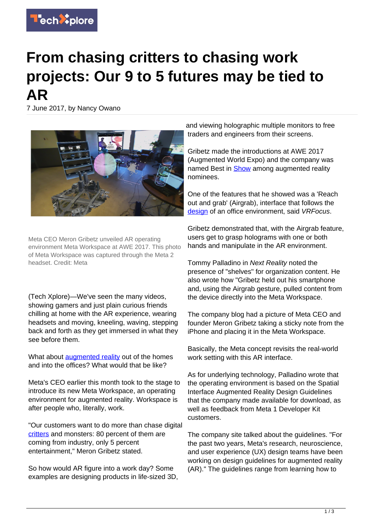

## **From chasing critters to chasing work projects: Our 9 to 5 futures may be tied to AR**

7 June 2017, by Nancy Owano



Meta CEO Meron Gribetz unveiled AR operating environment Meta Workspace at AWE 2017. This photo of Meta Workspace was captured through the Meta 2 headset. Credit: Meta

(Tech Xplore)—We've seen the many videos, showing gamers and just plain curious friends chilling at home with the AR experience, wearing headsets and moving, kneeling, waving, stepping back and forth as they get immersed in what they see before them.

What about **[augmented reality](https://techxplore.com/tags/augmented+reality/)** out of the homes and into the offices? What would that be like?

Meta's CEO earlier this month took to the stage to introduce its new Meta Workspace, an operating environment for augmented reality. Workspace is after people who, literally, work.

"Our customers want to do more than chase digital [critters](http://www.businesswire.com/news/home/20170601005952/en/Meta-Introduces-AR-Workspace-Augmented-World-Exp) and monsters: 80 percent of them are coming from industry, only 5 percent entertainment," Meron Gribetz stated.

So how would AR figure into a work day? Some examples are designing products in life-sized 3D, and viewing holographic multiple monitors to free traders and engineers from their screens.

Gribetz made the introductions at AWE 2017 (Augmented World Expo) and the company was named Best in [Show](https://next.reality.news/news/brief-reality-meta-hololens-wikitude-among-auggie-winners-0177951/) among augmented reality nominees.

One of the features that he showed was a 'Reach out and grab' (Airgrab), interface that follows the [design](https://www.vrfocus.com/2017/06/ar-workspace-for-meta-introduced-at-awe-2017/) of an office environment, said VRFocus.

Gribetz demonstrated that, with the Airgrab feature, users get to grasp holograms with one or both hands and manipulate in the AR environment.

Tommy Palladino in Next Reality noted the presence of "shelves" for organization content. He also wrote how "Gribetz held out his smartphone and, using the Airgrab gesture, pulled content from the device directly into the Meta Workspace.

The company blog had a picture of Meta CEO and founder Meron Gribetz taking a sticky note from the iPhone and placing it in the Meta Workspace.

Basically, the Meta concept revisits the real-world work setting with this AR interface.

As for underlying technology, Palladino wrote that the operating environment is based on the Spatial Interface Augmented Reality Design Guidelines that the company made available for download, as well as feedback from Meta 1 Developer Kit customers.

The company site talked about the guidelines. "For the past two years, Meta's research, neuroscience, and user experience (UX) design teams have been working on design guidelines for augmented reality (AR)." The guidelines range from learning how to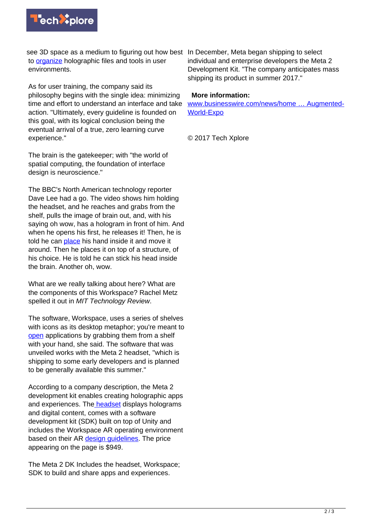

see 3D space as a medium to figuring out how best In December, Meta began shipping to select to [organize](https://pages.metavision.com/meta-augmented-reality-design-guidelines) holographic files and tools in user environments.

As for user training, the company said its philosophy begins with the single idea: minimizing time and effort to understand an interface and take action. "Ultimately, every guideline is founded on this goal, with its logical conclusion being the eventual arrival of a true, zero learning curve experience."

The brain is the gatekeeper; with "the world of spatial computing, the foundation of interface design is neuroscience."

The BBC's North American technology reporter Dave Lee had a go. The video shows him holding the headset, and he reaches and grabs from the shelf, pulls the image of brain out, and, with his saying oh wow, has a hologram in front of him. And when he opens his first, he releases it! Then, he is told he can [place](http://www.bbc.com/news/av/40129729/meta-hopes-to-redesign-the-work-place-by-using-augmented-reality-to-organise-your-desk) his hand inside it and move it around. Then he places it on top of a structure, of his choice. He is told he can stick his head inside the brain. Another oh, wow.

What are we really talking about here? What are the components of this Workspace? Rachel Metz spelled it out in MIT Technology Review.

The software, Workspace, uses a series of shelves with icons as its desktop metaphor; you're meant to [open](https://www.technologyreview.com/s/608016/the-desktop-of-the-future-is-coming/) applications by grabbing them from a shelf with your hand, she said. The software that was unveiled works with the Meta 2 headset, "which is shipping to some early developers and is planned to be generally available this summer."

According to a company description, the Meta 2 development kit enables creating holographic apps and experiences. Th[e headset](https://buy.metavision.com/products/meta2) displays holograms and digital content, comes with a software development kit (SDK) built on top of Unity and includes the Workspace AR operating environment based on their AR [design guidelines](https://techxplore.com/tags/design+guidelines/). The price appearing on the page is \$949.

The Meta 2 DK Includes the headset, Workspace; SDK to build and share apps and experiences.

individual and enterprise developers the Meta 2 Development Kit. "The company anticipates mass shipping its product in summer 2017."

## **More information:**

[www.businesswire.com/news/home … Augmented-](http://www.businesswire.com/news/home/20170601005952/en/Meta-Introduces-AR-Workspace-Augmented-World-Expo)[World-Expo](http://www.businesswire.com/news/home/20170601005952/en/Meta-Introduces-AR-Workspace-Augmented-World-Expo)

© 2017 Tech Xplore